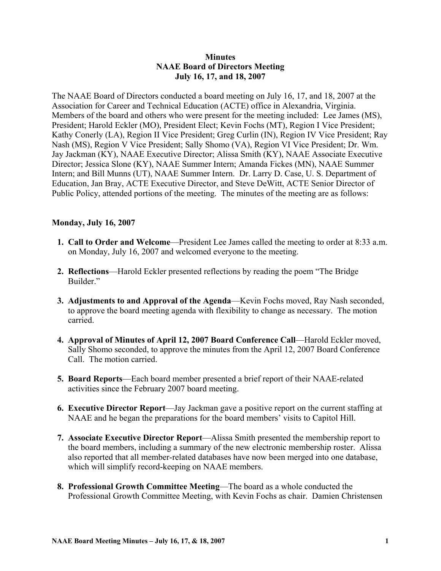#### **Minutes NAAE Board of Directors Meeting July 16, 17, and 18, 2007**

The NAAE Board of Directors conducted a board meeting on July 16, 17, and 18, 2007 at the Association for Career and Technical Education (ACTE) office in Alexandria, Virginia. Members of the board and others who were present for the meeting included: Lee James (MS), President; Harold Eckler (MO), President Elect; Kevin Fochs (MT), Region I Vice President; Kathy Conerly (LA), Region II Vice President; Greg Curlin (IN), Region IV Vice President; Ray Nash (MS), Region V Vice President; Sally Shomo (VA), Region VI Vice President; Dr. Wm. Jay Jackman (KY), NAAE Executive Director; Alissa Smith (KY), NAAE Associate Executive Director; Jessica Slone (KY), NAAE Summer Intern; Amanda Fickes (MN), NAAE Summer Intern; and Bill Munns (UT), NAAE Summer Intern. Dr. Larry D. Case, U. S. Department of Education, Jan Bray, ACTE Executive Director, and Steve DeWitt, ACTE Senior Director of Public Policy, attended portions of the meeting. The minutes of the meeting are as follows:

#### **Monday, July 16, 2007**

- **1. Call to Order and Welcome**—President Lee James called the meeting to order at 8:33 a.m. on Monday, July 16, 2007 and welcomed everyone to the meeting.
- **2. Reflections**—Harold Eckler presented reflections by reading the poem "The Bridge Builder."
- **3. Adjustments to and Approval of the Agenda**—Kevin Fochs moved, Ray Nash seconded, to approve the board meeting agenda with flexibility to change as necessary. The motion carried.
- **4. Approval of Minutes of April 12, 2007 Board Conference Call**—Harold Eckler moved, Sally Shomo seconded, to approve the minutes from the April 12, 2007 Board Conference Call. The motion carried.
- **5. Board Reports**—Each board member presented a brief report of their NAAE-related activities since the February 2007 board meeting.
- **6. Executive Director Report**—Jay Jackman gave a positive report on the current staffing at NAAE and he began the preparations for the board members' visits to Capitol Hill.
- **7. Associate Executive Director Report**—Alissa Smith presented the membership report to the board members, including a summary of the new electronic membership roster. Alissa also reported that all member-related databases have now been merged into one database, which will simplify record-keeping on NAAE members.
- **8. Professional Growth Committee Meeting**—The board as a whole conducted the Professional Growth Committee Meeting, with Kevin Fochs as chair. Damien Christensen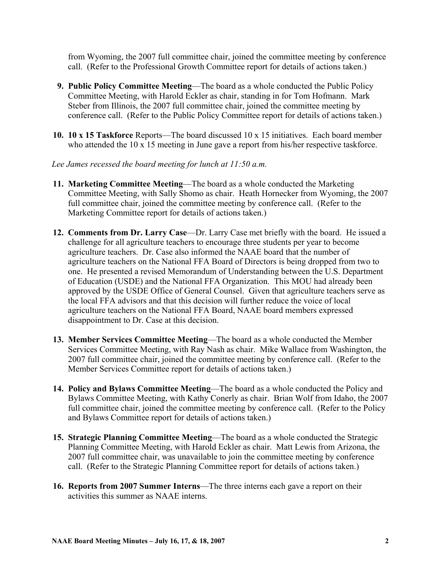from Wyoming, the 2007 full committee chair, joined the committee meeting by conference call. (Refer to the Professional Growth Committee report for details of actions taken.)

- **9. Public Policy Committee Meeting**—The board as a whole conducted the Public Policy Committee Meeting, with Harold Eckler as chair, standing in for Tom Hofmann. Mark Steber from Illinois, the 2007 full committee chair, joined the committee meeting by conference call. (Refer to the Public Policy Committee report for details of actions taken.)
- **10. 10 x 15 Taskforce** Reports—The board discussed 10 x 15 initiatives. Each board member who attended the 10 x 15 meeting in June gave a report from his/her respective taskforce.

*Lee James recessed the board meeting for lunch at 11:50 a.m.* 

- **11. Marketing Committee Meeting**—The board as a whole conducted the Marketing Committee Meeting, with Sally Shomo as chair. Heath Hornecker from Wyoming, the 2007 full committee chair, joined the committee meeting by conference call. (Refer to the Marketing Committee report for details of actions taken.)
- **12. Comments from Dr. Larry Case**—Dr. Larry Case met briefly with the board. He issued a challenge for all agriculture teachers to encourage three students per year to become agriculture teachers. Dr. Case also informed the NAAE board that the number of agriculture teachers on the National FFA Board of Directors is being dropped from two to one. He presented a revised Memorandum of Understanding between the U.S. Department of Education (USDE) and the National FFA Organization. This MOU had already been approved by the USDE Office of General Counsel. Given that agriculture teachers serve as the local FFA advisors and that this decision will further reduce the voice of local agriculture teachers on the National FFA Board, NAAE board members expressed disappointment to Dr. Case at this decision.
- **13. Member Services Committee Meeting**—The board as a whole conducted the Member Services Committee Meeting, with Ray Nash as chair. Mike Wallace from Washington, the 2007 full committee chair, joined the committee meeting by conference call. (Refer to the Member Services Committee report for details of actions taken.)
- **14. Policy and Bylaws Committee Meeting**—The board as a whole conducted the Policy and Bylaws Committee Meeting, with Kathy Conerly as chair. Brian Wolf from Idaho, the 2007 full committee chair, joined the committee meeting by conference call. (Refer to the Policy and Bylaws Committee report for details of actions taken.)
- **15. Strategic Planning Committee Meeting**—The board as a whole conducted the Strategic Planning Committee Meeting, with Harold Eckler as chair. Matt Lewis from Arizona, the 2007 full committee chair, was unavailable to join the committee meeting by conference call. (Refer to the Strategic Planning Committee report for details of actions taken.)
- **16. Reports from 2007 Summer Interns**—The three interns each gave a report on their activities this summer as NAAE interns.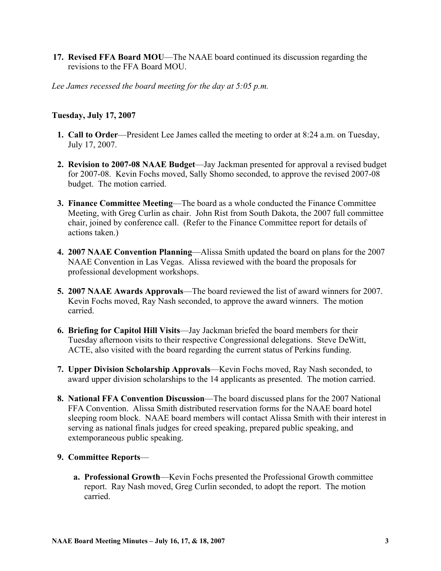**17. Revised FFA Board MOU—The NAAE board continued its discussion regarding the** revisions to the FFA Board MOU.

*Lee James recessed the board meeting for the day at 5:05 p.m.* 

### **Tuesday, July 17, 2007**

- **1. Call to Order**—President Lee James called the meeting to order at 8:24 a.m. on Tuesday, July 17, 2007.
- **2. Revision to 2007-08 NAAE Budget**—Jay Jackman presented for approval a revised budget for 2007-08. Kevin Fochs moved, Sally Shomo seconded, to approve the revised 2007-08 budget. The motion carried.
- **3. Finance Committee Meeting**—The board as a whole conducted the Finance Committee Meeting, with Greg Curlin as chair. John Rist from South Dakota, the 2007 full committee chair, joined by conference call. (Refer to the Finance Committee report for details of actions taken.)
- **4. 2007 NAAE Convention Planning**—Alissa Smith updated the board on plans for the 2007 NAAE Convention in Las Vegas. Alissa reviewed with the board the proposals for professional development workshops.
- **5. 2007 NAAE Awards Approvals**—The board reviewed the list of award winners for 2007. Kevin Fochs moved, Ray Nash seconded, to approve the award winners. The motion carried.
- **6. Briefing for Capitol Hill Visits**—Jay Jackman briefed the board members for their Tuesday afternoon visits to their respective Congressional delegations. Steve DeWitt, ACTE, also visited with the board regarding the current status of Perkins funding.
- **7. Upper Division Scholarship Approvals**—Kevin Fochs moved, Ray Nash seconded, to award upper division scholarships to the 14 applicants as presented. The motion carried.
- **8. National FFA Convention Discussion**—The board discussed plans for the 2007 National FFA Convention. Alissa Smith distributed reservation forms for the NAAE board hotel sleeping room block. NAAE board members will contact Alissa Smith with their interest in serving as national finals judges for creed speaking, prepared public speaking, and extemporaneous public speaking.

## **9. Committee Reports**—

 **a. Professional Growth**—Kevin Fochs presented the Professional Growth committee report. Ray Nash moved, Greg Curlin seconded, to adopt the report. The motion carried.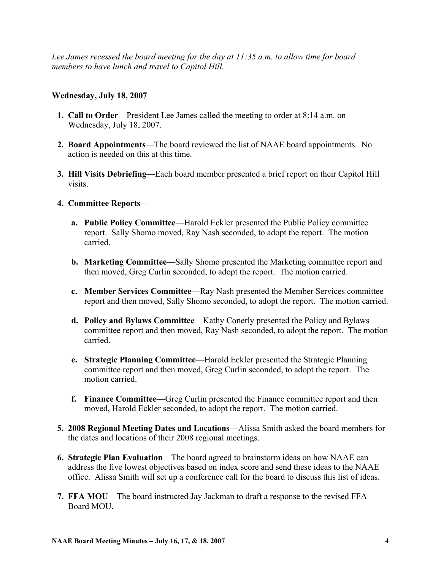*Lee James recessed the board meeting for the day at 11:35 a.m. to allow time for board members to have lunch and travel to Capitol Hill.* 

# **Wednesday, July 18, 2007**

- **1. Call to Order**—President Lee James called the meeting to order at 8:14 a.m. on Wednesday, July 18, 2007.
- **2. Board Appointments**—The board reviewed the list of NAAE board appointments. No action is needed on this at this time.
- **3. Hill Visits Debriefing**—Each board member presented a brief report on their Capitol Hill visits.

## **4. Committee Reports**—

- **a. Public Policy Committee**—Harold Eckler presented the Public Policy committee report. Sally Shomo moved, Ray Nash seconded, to adopt the report. The motion carried.
- **b. Marketing Committee—Sally Shomo presented the Marketing committee report and** then moved, Greg Curlin seconded, to adopt the report. The motion carried.
- **c. Member Services Committee**—Ray Nash presented the Member Services committee report and then moved, Sally Shomo seconded, to adopt the report. The motion carried.
- **d. Policy and Bylaws Committee**—Kathy Conerly presented the Policy and Bylaws committee report and then moved, Ray Nash seconded, to adopt the report. The motion carried.
- **e. Strategic Planning Committee**—Harold Eckler presented the Strategic Planning committee report and then moved, Greg Curlin seconded, to adopt the report. The motion carried.
- **f. Finance Committee**—Greg Curlin presented the Finance committee report and then moved, Harold Eckler seconded, to adopt the report. The motion carried.
- **5. 2008 Regional Meeting Dates and Locations**—Alissa Smith asked the board members for the dates and locations of their 2008 regional meetings.
- **6. Strategic Plan Evaluation**—The board agreed to brainstorm ideas on how NAAE can address the five lowest objectives based on index score and send these ideas to the NAAE office. Alissa Smith will set up a conference call for the board to discuss this list of ideas.
- **7. FFA MOU**—The board instructed Jay Jackman to draft a response to the revised FFA Board MOU.